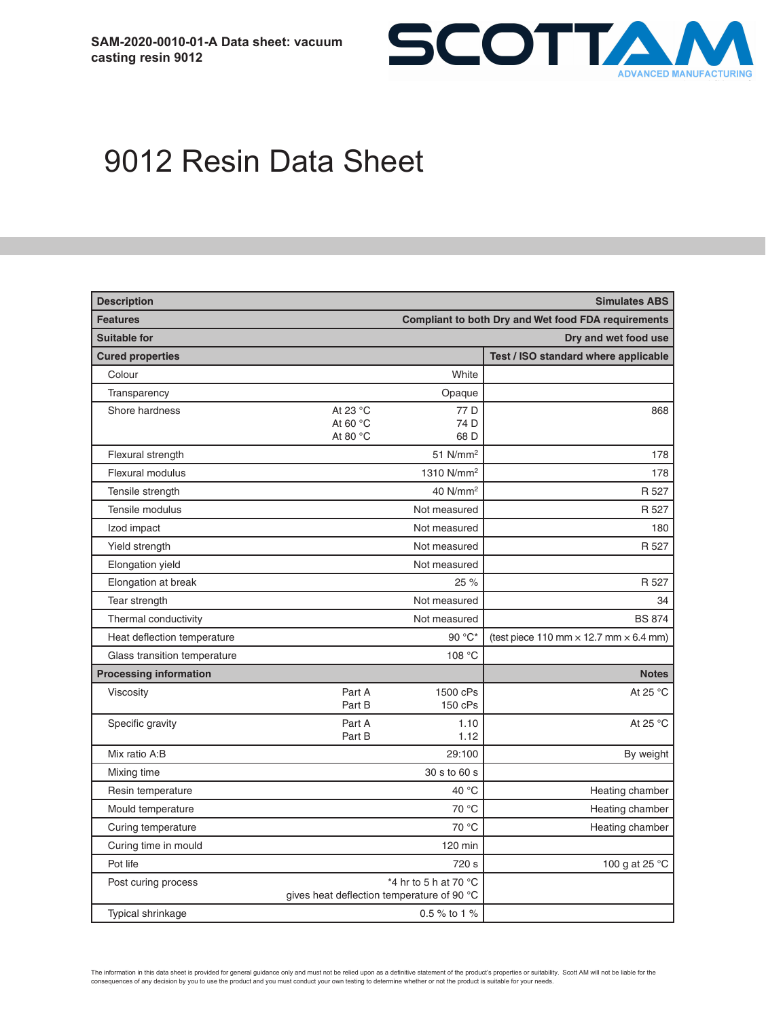

# 9012 Resin Data Sheet

| <b>Description</b><br><b>Simulates ABS</b> |                                                                     |                         |                                                      |
|--------------------------------------------|---------------------------------------------------------------------|-------------------------|------------------------------------------------------|
| <b>Features</b>                            | <b>Compliant to both Dry and Wet food FDA requirements</b>          |                         |                                                      |
| <b>Suitable for</b>                        | Dry and wet food use                                                |                         |                                                      |
| <b>Cured properties</b>                    |                                                                     |                         | Test / ISO standard where applicable                 |
| Colour                                     |                                                                     | White                   |                                                      |
| Transparency                               |                                                                     | Opaque                  |                                                      |
| Shore hardness                             | At 23 °C                                                            | 77 <sub>D</sub>         | 868                                                  |
|                                            | At 60 °C<br>At 80 $^{\circ}$ C                                      | 74 D<br>68 <sub>D</sub> |                                                      |
| Flexural strength                          |                                                                     | 51 $N/mm2$              | 178                                                  |
| Flexural modulus                           |                                                                     | 1310 N/mm <sup>2</sup>  | 178                                                  |
| Tensile strength                           |                                                                     | 40 N/mm <sup>2</sup>    | R 527                                                |
| Tensile modulus                            |                                                                     | Not measured            | R 527                                                |
| Izod impact                                |                                                                     | Not measured            | 180                                                  |
| Yield strength                             |                                                                     | Not measured            | R 527                                                |
| Elongation yield                           |                                                                     | Not measured            |                                                      |
| Elongation at break                        |                                                                     | 25 %                    | R 527                                                |
| Tear strength                              |                                                                     | Not measured            | 34                                                   |
| Thermal conductivity                       |                                                                     | Not measured            | <b>BS 874</b>                                        |
| Heat deflection temperature                |                                                                     | 90 °C*                  | (test piece 110 mm $\times$ 12.7 mm $\times$ 6.4 mm) |
| Glass transition temperature               |                                                                     | 108 °C                  |                                                      |
| <b>Processing information</b>              |                                                                     |                         | <b>Notes</b>                                         |
| Viscosity                                  | Part A<br>Part B                                                    | 1500 cPs<br>150 cPs     | At 25 °C                                             |
| Specific gravity                           | Part A<br>Part B                                                    | 1.10<br>1.12            | At 25 °C                                             |
| Mix ratio A:B                              |                                                                     | 29:100                  | By weight                                            |
| Mixing time                                |                                                                     | 30 s to 60 s            |                                                      |
| Resin temperature                          |                                                                     | 40 °C                   | Heating chamber                                      |
| Mould temperature                          | 70 °C                                                               |                         | Heating chamber                                      |
| Curing temperature                         | 70 °C                                                               |                         | Heating chamber                                      |
| Curing time in mould                       |                                                                     | 120 min                 |                                                      |
| Pot life                                   |                                                                     | 720 s                   | 100 g at 25 $^{\circ}$ C                             |
| Post curing process                        | *4 hr to 5 h at 70 °C<br>gives heat deflection temperature of 90 °C |                         |                                                      |
| Typical shrinkage                          | 0.5 % to 1 %                                                        |                         |                                                      |